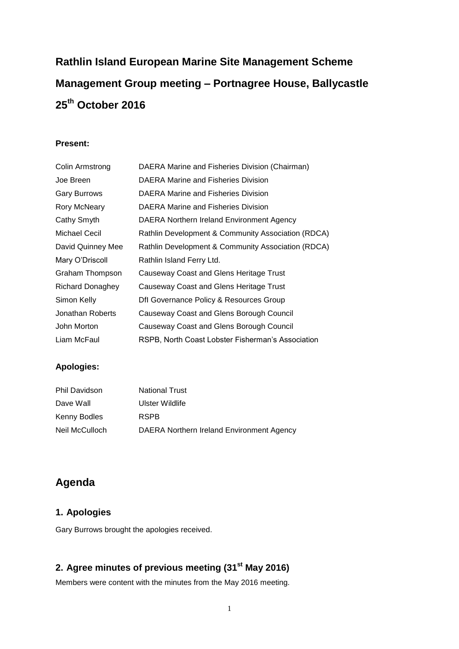# **Rathlin Island European Marine Site Management Scheme Management Group meeting – Portnagree House, Ballycastle 25th October 2016**

#### **Present:**

| Colin Armstrong     | DAERA Marine and Fisheries Division (Chairman)     |
|---------------------|----------------------------------------------------|
| Joe Breen           | DAERA Marine and Fisheries Division                |
| <b>Gary Burrows</b> | DAERA Marine and Fisheries Division                |
| Rory McNeary        | DAERA Marine and Fisheries Division                |
| Cathy Smyth         | DAERA Northern Ireland Environment Agency          |
| Michael Cecil       | Rathlin Development & Community Association (RDCA) |
| David Quinney Mee   | Rathlin Development & Community Association (RDCA) |
| Mary O'Driscoll     | Rathlin Island Ferry Ltd.                          |
| Graham Thompson     | Causeway Coast and Glens Heritage Trust            |
| Richard Donaghey    | Causeway Coast and Glens Heritage Trust            |
| Simon Kelly         | Dfl Governance Policy & Resources Group            |
| Jonathan Roberts    | Causeway Coast and Glens Borough Council           |
| John Morton         | Causeway Coast and Glens Borough Council           |
| Liam McFaul         | RSPB, North Coast Lobster Fisherman's Association  |

## **Apologies:**

| <b>Phil Davidson</b> | <b>National Trust</b>                     |
|----------------------|-------------------------------------------|
| Dave Wall            | Ulster Wildlife                           |
| Kenny Bodles         | <b>RSPB</b>                               |
| Neil McCulloch       | DAERA Northern Ireland Environment Agency |

# **Agenda**

# **1. Apologies**

Gary Burrows brought the apologies received.

# **2. Agree minutes of previous meeting (31st May 2016)**

Members were content with the minutes from the May 2016 meeting.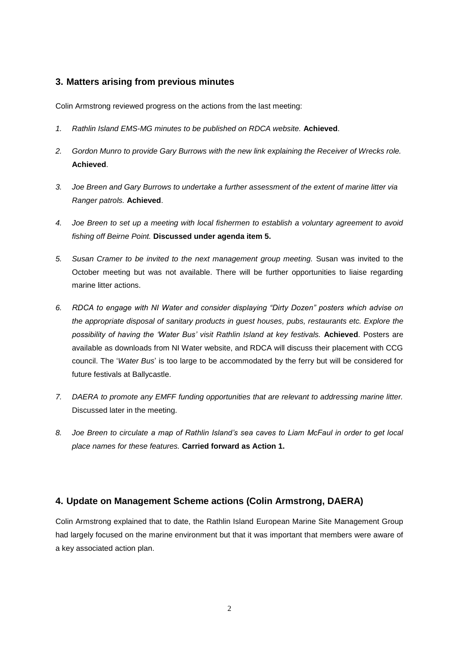#### **3. Matters arising from previous minutes**

Colin Armstrong reviewed progress on the actions from the last meeting:

- *1. Rathlin Island EMS-MG minutes to be published on RDCA website.* **Achieved**.
- *2. Gordon Munro to provide Gary Burrows with the new link explaining the Receiver of Wrecks role.* **Achieved**.
- *3. Joe Breen and Gary Burrows to undertake a further assessment of the extent of marine litter via Ranger patrols.* **Achieved**.
- *4. Joe Breen to set up a meeting with local fishermen to establish a voluntary agreement to avoid fishing off Beirne Point.* **Discussed under agenda item 5.**
- *5. Susan Cramer to be invited to the next management group meeting.* Susan was invited to the October meeting but was not available. There will be further opportunities to liaise regarding marine litter actions.
- *6. RDCA to engage with NI Water and consider displaying "Dirty Dozen" posters which advise on the appropriate disposal of sanitary products in guest houses, pubs, restaurants etc. Explore the possibility of having the 'Water Bus' visit Rathlin Island at key festivals.* **Achieved**. Posters are available as downloads from NI Water website, and RDCA will discuss their placement with CCG council. The '*Water Bus*' is too large to be accommodated by the ferry but will be considered for future festivals at Ballycastle.
- *7. DAERA to promote any EMFF funding opportunities that are relevant to addressing marine litter.* Discussed later in the meeting.
- *8. Joe Breen to circulate a map of Rathlin Island's sea caves to Liam McFaul in order to get local place names for these features.* **Carried forward as Action 1.**

#### **4. Update on Management Scheme actions (Colin Armstrong, DAERA)**

Colin Armstrong explained that to date, the Rathlin Island European Marine Site Management Group had largely focused on the marine environment but that it was important that members were aware of a key associated action plan.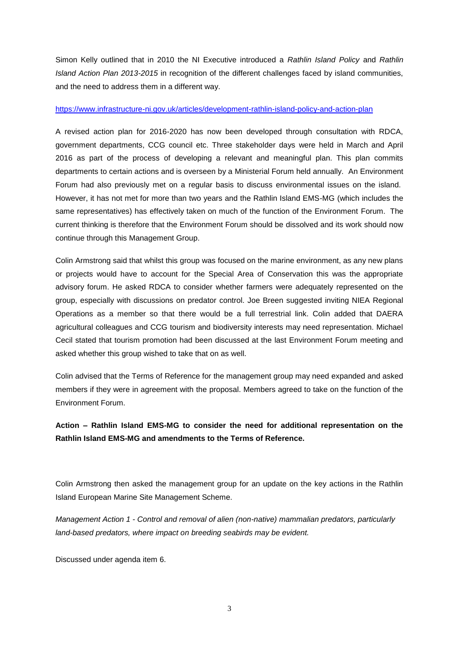Simon Kelly outlined that in 2010 the NI Executive introduced a *Rathlin Island Policy* and *Rathlin Island Action Plan 2013-2015* in recognition of the different challenges faced by island communities, and the need to address them in a different way.

#### <https://www.infrastructure-ni.gov.uk/articles/development-rathlin-island-policy-and-action-plan>

A revised action plan for 2016-2020 has now been developed through consultation with RDCA, government departments, CCG council etc. Three stakeholder days were held in March and April 2016 as part of the process of developing a relevant and meaningful plan. This plan commits departments to certain actions and is overseen by a Ministerial Forum held annually. An Environment Forum had also previously met on a regular basis to discuss environmental issues on the island. However, it has not met for more than two years and the Rathlin Island EMS-MG (which includes the same representatives) has effectively taken on much of the function of the Environment Forum. The current thinking is therefore that the Environment Forum should be dissolved and its work should now continue through this Management Group.

Colin Armstrong said that whilst this group was focused on the marine environment, as any new plans or projects would have to account for the Special Area of Conservation this was the appropriate advisory forum. He asked RDCA to consider whether farmers were adequately represented on the group, especially with discussions on predator control. Joe Breen suggested inviting NIEA Regional Operations as a member so that there would be a full terrestrial link. Colin added that DAERA agricultural colleagues and CCG tourism and biodiversity interests may need representation. Michael Cecil stated that tourism promotion had been discussed at the last Environment Forum meeting and asked whether this group wished to take that on as well.

Colin advised that the Terms of Reference for the management group may need expanded and asked members if they were in agreement with the proposal. Members agreed to take on the function of the Environment Forum.

**Action – Rathlin Island EMS-MG to consider the need for additional representation on the Rathlin Island EMS-MG and amendments to the Terms of Reference.**

Colin Armstrong then asked the management group for an update on the key actions in the Rathlin Island European Marine Site Management Scheme.

*Management Action 1 - Control and removal of alien (non-native) mammalian predators, particularly land-based predators, where impact on breeding seabirds may be evident.*

Discussed under agenda item 6.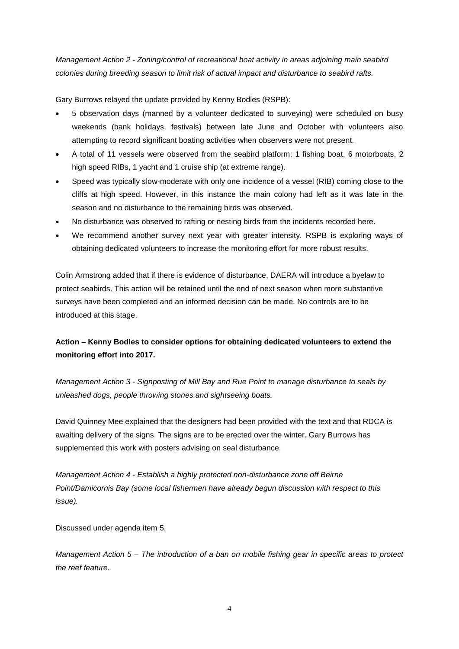*Management Action 2 - Zoning/control of recreational boat activity in areas adjoining main seabird colonies during breeding season to limit risk of actual impact and disturbance to seabird rafts.*

Gary Burrows relayed the update provided by Kenny Bodles (RSPB):

- 5 observation days (manned by a volunteer dedicated to surveying) were scheduled on busy weekends (bank holidays, festivals) between late June and October with volunteers also attempting to record significant boating activities when observers were not present.
- A total of 11 vessels were observed from the seabird platform: 1 fishing boat, 6 motorboats, 2 high speed RIBs, 1 yacht and 1 cruise ship (at extreme range).
- Speed was typically slow-moderate with only one incidence of a vessel (RIB) coming close to the cliffs at high speed. However, in this instance the main colony had left as it was late in the season and no disturbance to the remaining birds was observed.
- No disturbance was observed to rafting or nesting birds from the incidents recorded here.
- We recommend another survey next year with greater intensity. RSPB is exploring ways of obtaining dedicated volunteers to increase the monitoring effort for more robust results.

Colin Armstrong added that if there is evidence of disturbance, DAERA will introduce a byelaw to protect seabirds. This action will be retained until the end of next season when more substantive surveys have been completed and an informed decision can be made. No controls are to be introduced at this stage.

# **Action – Kenny Bodles to consider options for obtaining dedicated volunteers to extend the monitoring effort into 2017.**

*Management Action 3 - Signposting of Mill Bay and Rue Point to manage disturbance to seals by unleashed dogs, people throwing stones and sightseeing boats.*

David Quinney Mee explained that the designers had been provided with the text and that RDCA is awaiting delivery of the signs. The signs are to be erected over the winter. Gary Burrows has supplemented this work with posters advising on seal disturbance.

*Management Action 4 - Establish a highly protected non-disturbance zone off Beirne Point/Damicornis Bay (some local fishermen have already begun discussion with respect to this issue).*

Discussed under agenda item 5.

*Management Action 5 – The introduction of a ban on mobile fishing gear in specific areas to protect the reef feature.*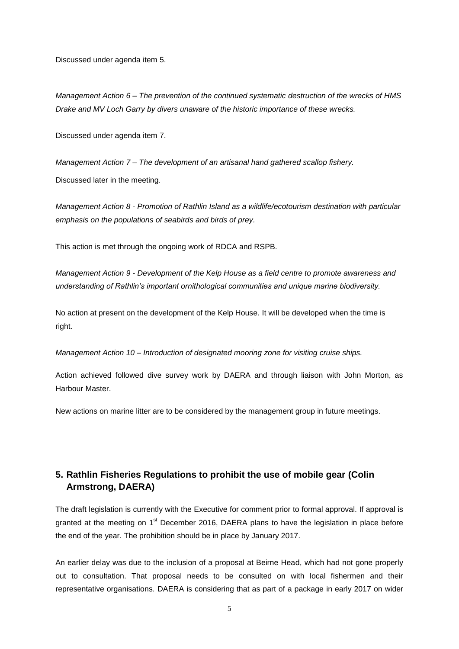Discussed under agenda item 5.

*Management Action 6 – The prevention of the continued systematic destruction of the wrecks of HMS Drake and MV Loch Garry by divers unaware of the historic importance of these wrecks.*

Discussed under agenda item 7.

*Management Action 7 – The development of an artisanal hand gathered scallop fishery.*

Discussed later in the meeting.

*Management Action 8 - Promotion of Rathlin Island as a wildlife/ecotourism destination with particular emphasis on the populations of seabirds and birds of prey.*

This action is met through the ongoing work of RDCA and RSPB.

*Management Action 9 - Development of the Kelp House as a field centre to promote awareness and understanding of Rathlin's important ornithological communities and unique marine biodiversity.*

No action at present on the development of the Kelp House. It will be developed when the time is right.

*Management Action 10 – Introduction of designated mooring zone for visiting cruise ships.*

Action achieved followed dive survey work by DAERA and through liaison with John Morton, as Harbour Master.

New actions on marine litter are to be considered by the management group in future meetings.

## **5. Rathlin Fisheries Regulations to prohibit the use of mobile gear (Colin Armstrong, DAERA)**

The draft legislation is currently with the Executive for comment prior to formal approval. If approval is granted at the meeting on  $1<sup>st</sup>$  December 2016, DAERA plans to have the legislation in place before the end of the year. The prohibition should be in place by January 2017.

An earlier delay was due to the inclusion of a proposal at Beirne Head, which had not gone properly out to consultation. That proposal needs to be consulted on with local fishermen and their representative organisations. DAERA is considering that as part of a package in early 2017 on wider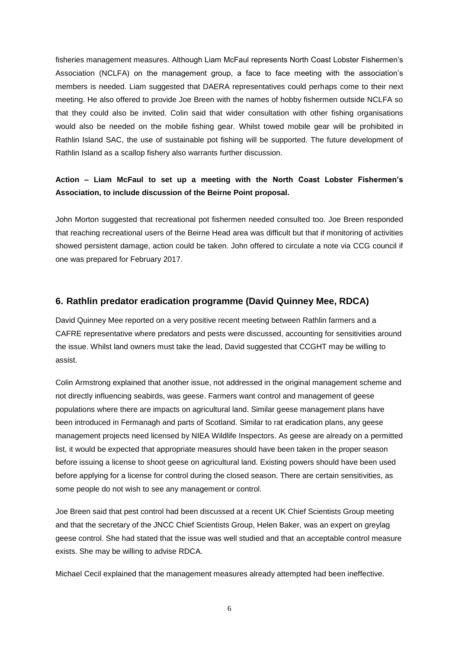fisheries management measures. Although Liam McFaul represents North Coast Lobster Fishermen's Association (NCLFA) on the management group, a face to face meeting with the association's members is needed. Liam suggested that DAERA representatives could perhaps come to their next meeting. He also offered to provide Joe Breen with the names of hobby fishermen outside NCLFA so that they could also be invited. Colin said that wider consultation with other fishing organisations would also be needed on the mobile fishing gear. Whilst towed mobile gear will be prohibited in Rathlin Island SAC, the use of sustainable pot fishing will be supported. The future development of Rathlin Island as a scallop fishery also warrants further discussion.

#### **Action – Liam McFaul to set up a meeting with the North Coast Lobster Fishermen's Association, to include discussion of the Beirne Point proposal.**

John Morton suggested that recreational pot fishermen needed consulted too. Joe Breen responded that reaching recreational users of the Beirne Head area was difficult but that if monitoring of activities showed persistent damage, action could be taken. John offered to circulate a note via CCG council if one was prepared for February 2017.

#### **6. Rathlin predator eradication programme (David Quinney Mee, RDCA)**

David Quinney Mee reported on a very positive recent meeting between Rathlin farmers and a CAFRE representative where predators and pests were discussed, accounting for sensitivities around the issue. Whilst land owners must take the lead, David suggested that CCGHT may be willing to assist.

Colin Armstrong explained that another issue, not addressed in the original management scheme and not directly influencing seabirds, was geese. Farmers want control and management of geese populations where there are impacts on agricultural land. Similar geese management plans have been introduced in Fermanagh and parts of Scotland. Similar to rat eradication plans, any geese management projects need licensed by NIEA Wildlife Inspectors. As geese are already on a permitted list, it would be expected that appropriate measures should have been taken in the proper season before issuing a license to shoot geese on agricultural land. Existing powers should have been used before applying for a license for control during the closed season. There are certain sensitivities, as some people do not wish to see any management or control.

Joe Breen said that pest control had been discussed at a recent UK Chief Scientists Group meeting and that the secretary of the JNCC Chief Scientists Group, Helen Baker, was an expert on greylag geese control. She had stated that the issue was well studied and that an acceptable control measure exists. She may be willing to advise RDCA.

Michael Cecil explained that the management measures already attempted had been ineffective.

6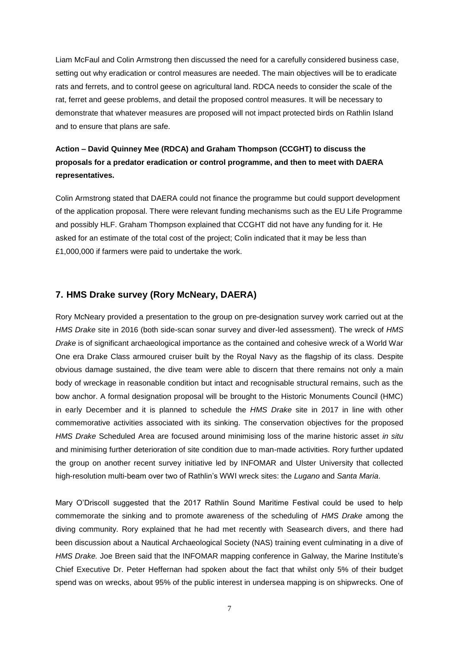Liam McFaul and Colin Armstrong then discussed the need for a carefully considered business case, setting out why eradication or control measures are needed. The main objectives will be to eradicate rats and ferrets, and to control geese on agricultural land. RDCA needs to consider the scale of the rat, ferret and geese problems, and detail the proposed control measures. It will be necessary to demonstrate that whatever measures are proposed will not impact protected birds on Rathlin Island and to ensure that plans are safe.

# **Action – David Quinney Mee (RDCA) and Graham Thompson (CCGHT) to discuss the proposals for a predator eradication or control programme, and then to meet with DAERA representatives.**

Colin Armstrong stated that DAERA could not finance the programme but could support development of the application proposal. There were relevant funding mechanisms such as the EU Life Programme and possibly HLF. Graham Thompson explained that CCGHT did not have any funding for it. He asked for an estimate of the total cost of the project; Colin indicated that it may be less than £1,000,000 if farmers were paid to undertake the work.

#### **7. HMS Drake survey (Rory McNeary, DAERA)**

Rory McNeary provided a presentation to the group on pre-designation survey work carried out at the *HMS Drake* site in 2016 (both side-scan sonar survey and diver-led assessment). The wreck of *HMS Drake* is of significant archaeological importance as the contained and cohesive wreck of a World War One era Drake Class armoured cruiser built by the Royal Navy as the flagship of its class. Despite obvious damage sustained, the dive team were able to discern that there remains not only a main body of wreckage in reasonable condition but intact and recognisable structural remains, such as the bow anchor. A formal designation proposal will be brought to the Historic Monuments Council (HMC) in early December and it is planned to schedule the *HMS Drake* site in 2017 in line with other commemorative activities associated with its sinking. The conservation objectives for the proposed *HMS Drake* Scheduled Area are focused around minimising loss of the marine historic asset *in situ* and minimising further deterioration of site condition due to man-made activities. Rory further updated the group on another recent survey initiative led by INFOMAR and Ulster University that collected high-resolution multi-beam over two of Rathlin's WWI wreck sites: the *Lugano* and *Santa Maria*.

Mary O'Driscoll suggested that the 2017 Rathlin Sound Maritime Festival could be used to help commemorate the sinking and to promote awareness of the scheduling of *HMS Drake* among the diving community. Rory explained that he had met recently with Seasearch divers, and there had been discussion about a Nautical Archaeological Society (NAS) training event culminating in a dive of *HMS Drake.* Joe Breen said that the INFOMAR mapping conference in Galway, the Marine Institute's Chief Executive Dr. Peter Heffernan had spoken about the fact that whilst only 5% of their budget spend was on wrecks, about 95% of the public interest in undersea mapping is on shipwrecks. One of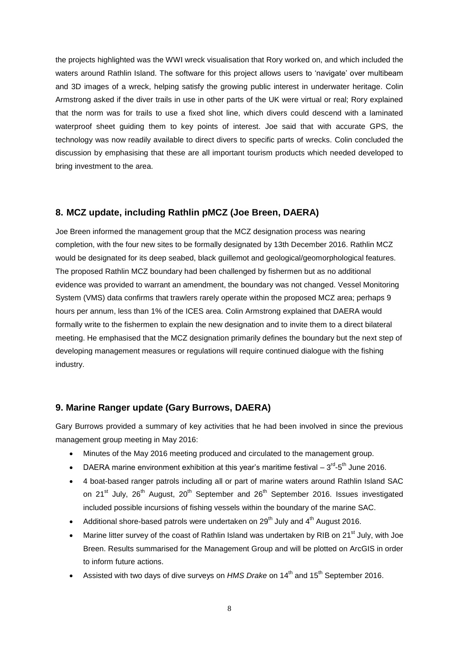the projects highlighted was the WWI wreck visualisation that Rory worked on, and which included the waters around Rathlin Island. The software for this project allows users to 'navigate' over multibeam and 3D images of a wreck, helping satisfy the growing public interest in underwater heritage. Colin Armstrong asked if the diver trails in use in other parts of the UK were virtual or real; Rory explained that the norm was for trails to use a fixed shot line, which divers could descend with a laminated waterproof sheet guiding them to key points of interest. Joe said that with accurate GPS, the technology was now readily available to direct divers to specific parts of wrecks. Colin concluded the discussion by emphasising that these are all important tourism products which needed developed to bring investment to the area.

#### **8. MCZ update, including Rathlin pMCZ (Joe Breen, DAERA)**

Joe Breen informed the management group that the MCZ designation process was nearing completion, with the four new sites to be formally designated by 13th December 2016. Rathlin MCZ would be designated for its deep seabed, black guillemot and geological/geomorphological features. The proposed Rathlin MCZ boundary had been challenged by fishermen but as no additional evidence was provided to warrant an amendment, the boundary was not changed. Vessel Monitoring System (VMS) data confirms that trawlers rarely operate within the proposed MCZ area; perhaps 9 hours per annum, less than 1% of the ICES area. Colin Armstrong explained that DAERA would formally write to the fishermen to explain the new designation and to invite them to a direct bilateral meeting. He emphasised that the MCZ designation primarily defines the boundary but the next step of developing management measures or regulations will require continued dialogue with the fishing industry.

#### **9. Marine Ranger update (Gary Burrows, DAERA)**

Gary Burrows provided a summary of key activities that he had been involved in since the previous management group meeting in May 2016:

- Minutes of the May 2016 meeting produced and circulated to the management group.
- DAERA marine environment exhibition at this year's maritime festival  $-3^{\text{rd}}$ -5<sup>th</sup> June 2016.
- 4 boat-based ranger patrols including all or part of marine waters around Rathlin Island SAC on 21<sup>st</sup> July, 26<sup>th</sup> August, 20<sup>th</sup> September and 26<sup>th</sup> September 2016. Issues investigated included possible incursions of fishing vessels within the boundary of the marine SAC.
- Additional shore-based patrols were undertaken on  $29^{th}$  July and  $4^{th}$  August 2016.
- Marine litter survey of the coast of Rathlin Island was undertaken by RIB on 21<sup>st</sup> July, with Joe Breen. Results summarised for the Management Group and will be plotted on ArcGIS in order to inform future actions.
- Assisted with two days of dive surveys on *HMS Drake* on 14<sup>th</sup> and 15<sup>th</sup> September 2016.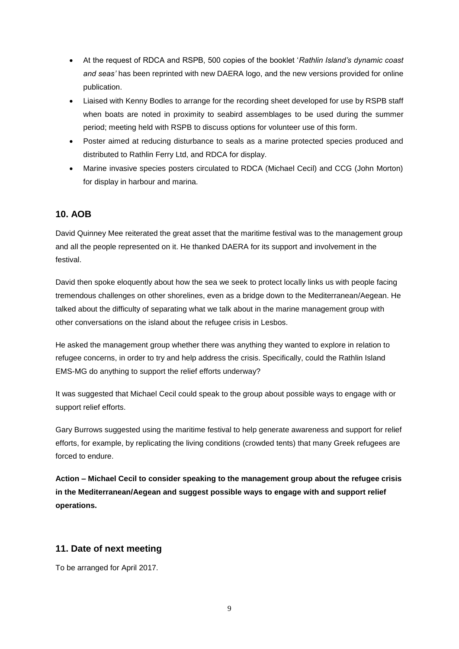- At the request of RDCA and RSPB, 500 copies of the booklet '*Rathlin Island's dynamic coast and seas'* has been reprinted with new DAERA logo, and the new versions provided for online publication.
- Liaised with Kenny Bodles to arrange for the recording sheet developed for use by RSPB staff when boats are noted in proximity to seabird assemblages to be used during the summer period; meeting held with RSPB to discuss options for volunteer use of this form.
- Poster aimed at reducing disturbance to seals as a marine protected species produced and distributed to Rathlin Ferry Ltd, and RDCA for display.
- Marine invasive species posters circulated to RDCA (Michael Cecil) and CCG (John Morton) for display in harbour and marina.

#### **10. AOB**

David Quinney Mee reiterated the great asset that the maritime festival was to the management group and all the people represented on it. He thanked DAERA for its support and involvement in the festival.

David then spoke eloquently about how the sea we seek to protect locally links us with people facing tremendous challenges on other shorelines, even as a bridge down to the Mediterranean/Aegean. He talked about the difficulty of separating what we talk about in the marine management group with other conversations on the island about the refugee crisis in Lesbos.

He asked the management group whether there was anything they wanted to explore in relation to refugee concerns, in order to try and help address the crisis. Specifically, could the Rathlin Island EMS-MG do anything to support the relief efforts underway?

It was suggested that Michael Cecil could speak to the group about possible ways to engage with or support relief efforts.

Gary Burrows suggested using the maritime festival to help generate awareness and support for relief efforts, for example, by replicating the living conditions (crowded tents) that many Greek refugees are forced to endure.

**Action – Michael Cecil to consider speaking to the management group about the refugee crisis in the Mediterranean/Aegean and suggest possible ways to engage with and support relief operations.**

#### **11. Date of next meeting**

To be arranged for April 2017.